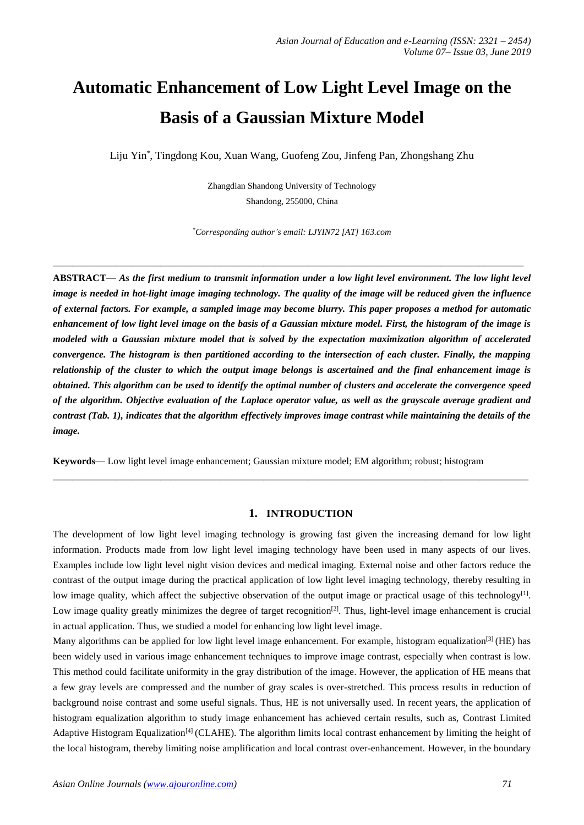# **Automatic Enhancement of Low Light Level Image on the Basis of a Gaussian Mixture Model**

Liju Yin\* , Tingdong Kou, Xuan Wang, Guofeng Zou, Jinfeng Pan, Zhongshang Zhu

Zhangdian Shandong University of Technology Shandong, 255000, China

*\*Corresponding author's email: LJYIN72 [AT] 163.com*

\_\_\_\_\_\_\_\_\_\_\_\_\_\_\_\_\_\_\_\_\_\_\_\_\_\_\_\_\_\_\_\_\_\_\_\_\_\_\_\_\_\_\_\_\_\_\_\_\_\_\_\_\_\_\_\_\_\_\_\_\_\_\_\_\_\_\_\_\_\_\_\_\_\_\_\_\_\_\_\_\_\_\_\_\_\_\_\_\_\_\_\_\_\_\_\_

**ABSTRACT**— *As the first medium to transmit information under a low light level environment. The low light level image is needed in hot-light image imaging technology. The quality of the image will be reduced given the influence of external factors. For example, a sampled image may become blurry. This paper proposes a method for automatic enhancement of low light level image on the basis of a Gaussian mixture model. First, the histogram of the image is modeled with a Gaussian mixture model that is solved by the expectation maximization algorithm of accelerated convergence. The histogram is then partitioned according to the intersection of each cluster. Finally, the mapping relationship of the cluster to which the output image belongs is ascertained and the final enhancement image is obtained. This algorithm can be used to identify the optimal number of clusters and accelerate the convergence speed of the algorithm. Objective evaluation of the Laplace operator value, as well as the grayscale average gradient and contrast (Tab. 1), indicates that the algorithm effectively improves image contrast while maintaining the details of the image.*

**Keywords**— Low light level image enhancement; Gaussian mixture model; EM algorithm; robust; histogram

## **1. INTRODUCTION**

**\_\_\_\_\_\_\_\_\_\_\_\_\_\_\_\_\_\_\_\_\_\_\_\_\_\_\_\_\_\_\_\_\_\_\_\_\_\_\_\_\_\_\_\_\_\_\_\_\_\_\_\_\_\_\_\_\_\_\_\_\_\_\_\_\_\_\_\_\_\_\_\_\_\_\_\_\_\_\_\_\_\_\_\_\_\_\_\_\_\_\_\_\_\_\_\_\_**

The development of low light level imaging technology is growing fast given the increasing demand for low light information. Products made from low light level imaging technology have been used in many aspects of our lives. Examples include low light level night vision devices and medical imaging. External noise and other factors reduce the contrast of the output image during the practical application of low light level imaging technology, thereby resulting in low image quality, which affect the subjective observation of the output image or practical usage of this technology<sup>[1]</sup>. Low image quality greatly minimizes the degree of target recognition<sup>[2]</sup>. Thus, light-level image enhancement is crucial in actual application. Thus, we studied a model for enhancing low light level image.

Many algorithms can be applied for low light level image enhancement. For example, histogram equalization<sup>[3]</sup> (HE) has been widely used in various image enhancement techniques to improve image contrast, especially when contrast is low. This method could facilitate uniformity in the gray distribution of the image. However, the application of HE means that a few gray levels are compressed and the number of gray scales is over-stretched. This process results in reduction of background noise contrast and some useful signals. Thus, HE is not universally used. In recent years, the application of histogram equalization algorithm to study image enhancement has achieved certain results, such as, Contrast Limited Adaptive Histogram Equalization<sup>[4]</sup> (CLAHE). The algorithm limits local contrast enhancement by limiting the height of the local histogram, thereby limiting noise amplification and local contrast over-enhancement. However, in the boundary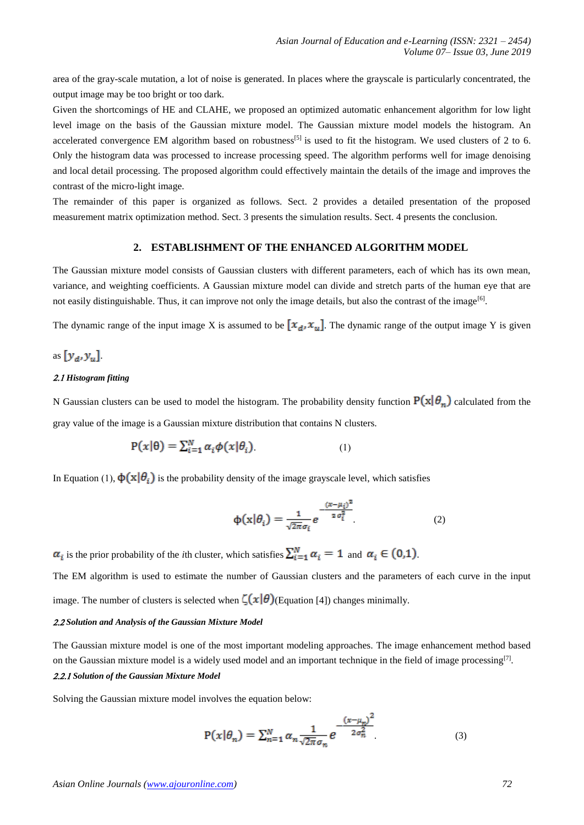area of the gray-scale mutation, a lot of noise is generated. In places where the grayscale is particularly concentrated, the output image may be too bright or too dark.

Given the shortcomings of HE and CLAHE, we proposed an optimized automatic enhancement algorithm for low light level image on the basis of the Gaussian mixture model. The Gaussian mixture model models the histogram. An accelerated convergence EM algorithm based on robustness<sup>[5]</sup> is used to fit the histogram. We used clusters of 2 to 6. Only the histogram data was processed to increase processing speed. The algorithm performs well for image denoising and local detail processing. The proposed algorithm could effectively maintain the details of the image and improves the contrast of the micro-light image.

The remainder of this paper is organized as follows. Sect. 2 provides a detailed presentation of the proposed measurement matrix optimization method. Sect. 3 presents the simulation results. Sect. 4 presents the conclusion.

#### **2. ESTABLISHMENT OF THE ENHANCED ALGORITHM MODEL**

The Gaussian mixture model consists of Gaussian clusters with different parameters, each of which has its own mean, variance, and weighting coefficients. A Gaussian mixture model can divide and stretch parts of the human eye that are not easily distinguishable. Thus, it can improve not only the image details, but also the contrast of the image<sup>[6]</sup>.

The dynamic range of the input image X is assumed to be  $[x_d, x_u]$ . The dynamic range of the output image Y is given

as  $[y_a, y_u]$ .

### 2.1 Histogram fitting

N Gaussian clusters can be used to model the histogram. The probability density function  $P(x|\theta_n)$  calculated from the gray value of the image is a Gaussian mixture distribution that contains N clusters.

$$
P(x|\theta) = \sum_{i=1}^{N} \alpha_i \phi(x|\theta_i)
$$
 (1)

In Equation (1),  $\phi(\mathbf{x}|\theta_i)$  is the probability density of the image grayscale level, which satisfies

$$
\Phi(\mathbf{x}|\theta_i) = \frac{1}{\sqrt{2\pi}\sigma_i} e^{-\frac{(x-\mu_i)^2}{2\sigma_i^2}} \tag{2}
$$

 $\alpha_i$  is the prior probability of the *i*th cluster, which satisfies  $\sum_{i=1}^{N} \alpha_i = 1$  and  $\alpha_i \in (0,1)$ .

The EM algorithm is used to estimate the number of Gaussian clusters and the parameters of each curve in the input image. The number of clusters is selected when  $\zeta(x|\theta)$  (Equation [4]) changes minimally.

#### *Solution and Analysis of the Gaussian Mixture Model*

The Gaussian mixture model is one of the most important modeling approaches. The image enhancement method based on the Gaussian mixture model is a widely used model and an important technique in the field of image processing<sup>[7]</sup>. *Solution of the Gaussian Mixture Model*

Solving the Gaussian mixture model involves the equation below:

$$
P(x|\theta_n) = \sum_{n=1}^{N} \alpha_n \frac{1}{\sqrt{2\pi} \sigma_n} e^{-\frac{(x-\mu_n)^2}{2\sigma_n^2}}
$$
(3)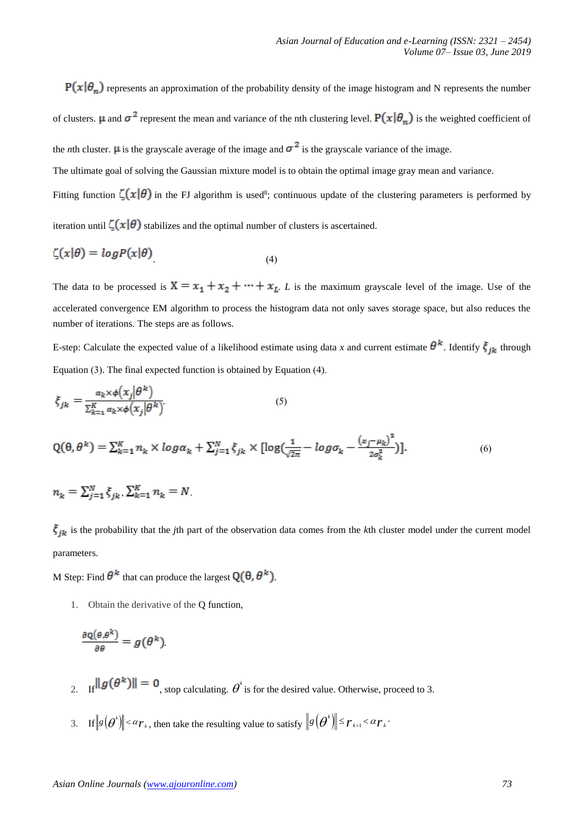$P(x|\theta_n)$  represents an approximation of the probability density of the image histogram and N represents the number of clusters.  $\mu$  and  $\sigma^2$  represent the mean and variance of the nth clustering level.  $P(x|\theta_n)$  is the weighted coefficient of the *n*th cluster.  $\mu$  is the grayscale average of the image and  $\sigma^2$  is the grayscale variance of the image.

The ultimate goal of solving the Gaussian mixture model is to obtain the optimal image gray mean and variance.

Fitting function  $\zeta(x|\theta)$  in the FJ algorithm is used<sup>8</sup>; continuous update of the clustering parameters is performed by

iteration until  $\zeta(x|\theta)$  stabilizes and the optimal number of clusters is ascertained.

$$
\zeta(x|\theta) = \log P(x|\theta) \tag{4}
$$

The data to be processed is  $X = x_1 + x_2 + \cdots + x_L$ . *L* is the maximum grayscale level of the image. Use of the accelerated convergence EM algorithm to process the histogram data not only saves storage space, but also reduces the number of iterations. The steps are as follows.

E-step: Calculate the expected value of a likelihood estimate using data *x* and current estimate  $\theta^k$ . Identify  $\xi_{jk}$  through Equation  $(3)$ . The final expected function is obtained by Equation  $(4)$ .

$$
\xi_{jk} = \frac{\alpha_k \times \phi(x_j | \theta^k)}{\sum_{k=1}^K \alpha_k \times \phi(x_j | \theta^k)}\tag{5}
$$

$$
Q(\theta, \theta^k) = \sum_{k=1}^K n_k \times \log \alpha_k + \sum_{j=1}^N \xi_{jk} \times [\log(\frac{1}{\sqrt{2\pi}} - \log \sigma_k - \frac{(x_j - \mu_k)^2}{2\sigma_k^2})].
$$
 (6)

$$
n_k = \sum_{j=1}^N \xi_{jk}, \sum_{k=1}^K n_k = N
$$

 $\zeta_{ik}$  is the probability that the *j*th part of the observation data comes from the *k*th cluster model under the current model parameters.

M Step: Find  $\theta^k$  that can produce the largest  $Q(\theta, \theta^k)$ .

1. Obtain the derivative of the Q function,

$$
\frac{\partial \mathbf{Q}(\theta, \theta^k)}{\partial \theta} = g(\theta^k)
$$

- 2. If  $\|\mathbf{g}(\theta^*)\| = 0$ , stop calculating.  $\theta^k$  is for the desired value. Otherwise, proceed to 3.
- 3. If  $\|\mathcal{S}(\boldsymbol{\theta}^*)\|$  $g(\theta^*)$  <  $\alpha r_k$ , then take the resulting value to satisfy  $\|g(\theta^*)\| \leq r_{k+1} < \alpha r_k$ .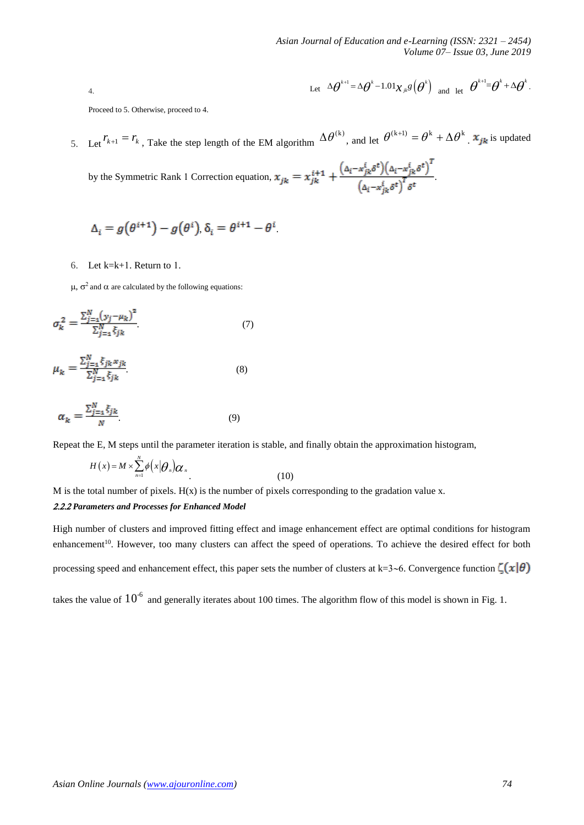4. Let 
$$
\Delta \theta^{k+1} = \Delta \theta^k - 1.01 \chi_{jk} g(\theta^k)
$$
 and let  $\theta^{k+1} = \theta^k + \Delta \theta^k$ .

Proceed to 5. Otherwise, proceed to 4.

5. Let  $r_{k+1} = r_k$ , Take the step length of the EM algorithm  $\Delta \theta^{(k)}$ , and let  $\theta^{(k+1)} = \theta^k + \Delta \theta^k$ .  $\mathbf{x}_{jk}$  is updated

by the Symmetric Rank 1 Correction equation,  $x_{jk} = x_{jk}^{i+1} + \frac{(\Delta_i - x_{jk}^i \delta^t)(\Delta_i - x_{jk}^i \delta^t)^T}{(\Delta_i - x_{ik}^i \delta^t)^T \delta^t}$ .

$$
\Delta_i = g(\theta^{i+1}) - g(\theta^i), \delta_i = \theta^{i+1} - \theta^i
$$

6. Let  $k=k+1$ . Return to 1.

 $\mu$ ,  $\sigma^2$  and  $\alpha$  are calculated by the following equations:

$$
\sigma_k^2 = \frac{\sum_{j=1}^N (y_j - \mu_k)^2}{\sum_{j=1}^N \xi_{jk}}\tag{7}
$$

$$
\mu_k = \frac{\sum_{j=1}^{N} \xi_{jk} x_{jk}}{\sum_{j=1}^{N} \xi_{jk}}.
$$
\n(8)

$$
\alpha_k = \frac{\sum_{j=1}^N \xi_{jk}}{N} \tag{9}
$$

Repeat the E, M steps until the parameter iteration is stable, and finally obtain the approximation histogram,

$$
H(x) = M \times \sum_{n=1}^{N} \phi\left(x | \theta_{n}\right) \alpha_{n} \tag{10}
$$

M is the total number of pixels.  $H(x)$  is the number of pixels corresponding to the gradation value x.

#### *Parameters and Processes for Enhanced Model*

High number of clusters and improved fitting effect and image enhancement effect are optimal conditions for histogram enhancement<sup>10</sup>. However, too many clusters can affect the speed of operations. To achieve the desired effect for both processing speed and enhancement effect, this paper sets the number of clusters at k=3~6. Convergence function  $\zeta(x|\theta)$ 

takes the value of  $10^6$  and generally iterates about 100 times. The algorithm flow of this model is shown in Fig. 1.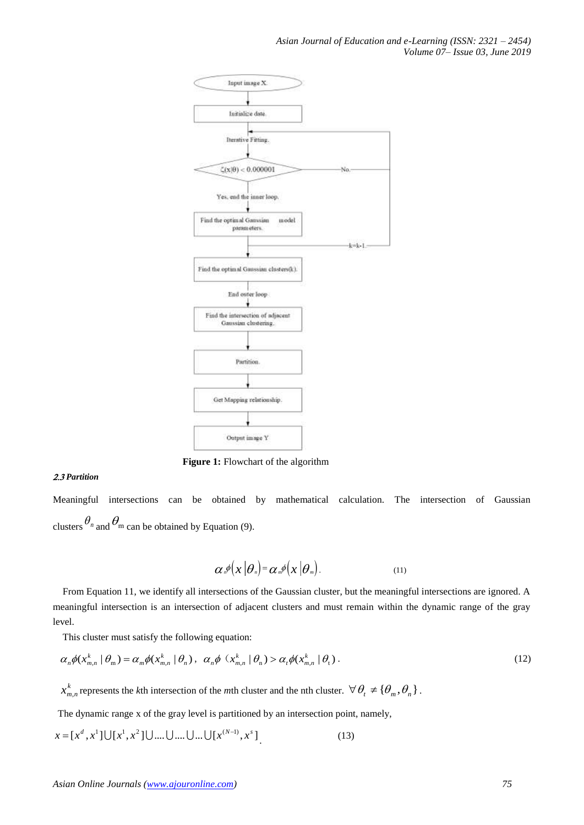

**Figure 1:** Flowchart of the algorithm

# *Partition*

Meaningful intersections can be obtained by mathematical calculation. The intersection of Gaussian clusters  $\theta_n$  and  $\theta_m$  can be obtained by Equation (9).

$$
\alpha_{n} \phi(x|\theta_{n}) = \alpha_{m} \phi(x|\theta_{m}). \qquad (11)
$$

From Equation 11, we identify all intersections of the Gaussian cluster, but the meaningful intersections are ignored. A meaningful intersection is an intersection of adjacent clusters and must remain within the dynamic range of the gray level.

This cluster must satisfy the following equation:

$$
\alpha_n \phi(x_{m,n}^k \mid \theta_m) = \alpha_m \phi(x_{m,n}^k \mid \theta_n), \ \alpha_n \phi(x_{m,n}^k \mid \theta_n) > \alpha_n \phi(x_{m,n}^k \mid \theta_n). \tag{12}
$$

*k*  $x_{m,n}^k$  represents the *k*th intersection of the *m*th cluster and the nth cluster.  $\forall \theta_t \neq {\theta_m, \theta_n}$ .

The dynamic range x of the gray level is partitioned by an intersection point, namely,

$$
x = [x^{d}, x^{1}] \cup [x^{1}, x^{2}] \cup .... \cup .... \cup ... \cup [x^{(N-1)}, x^{s}]
$$
\n(13)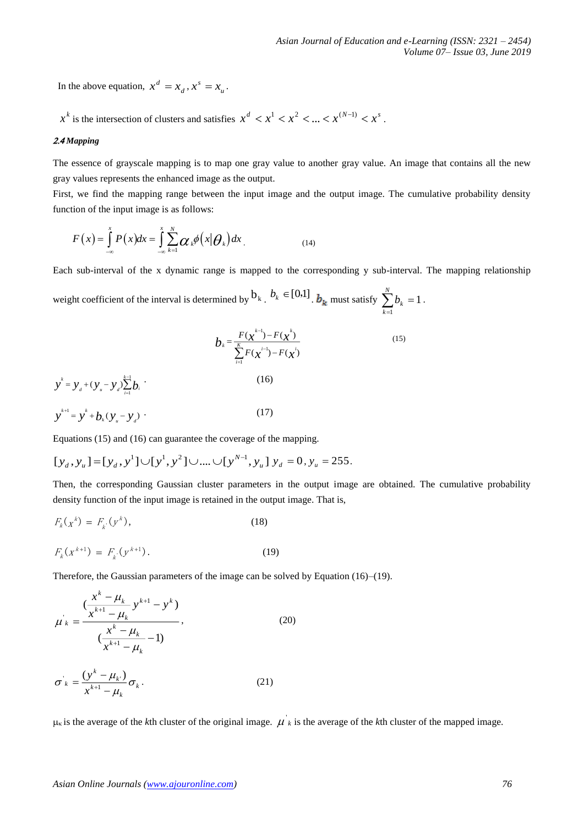In the above equation,  $x^d = x_d$  $x^d = x_d, x^s = x_u$  $x^s = x_{\mu}$ .

 $x^k$  is the intersection of clusters and satisfies  $x^d < x^1 < x^2 < ... < x^{(N-1)} < x^s$ .

#### 2.4 Mapping

The essence of grayscale mapping is to map one gray value to another gray value. An image that contains all the new gray values represents the enhanced image as the output.

First, we find the mapping range between the input image and the output image. The cumulative probability density function of the input image is as follows:

$$
F(x) = \int_{-\infty}^{x} P(x) dx = \int_{-\infty}^{x} \sum_{k=1}^{N} \alpha_k \phi(x | \theta_k) dx
$$
 (14)

Each sub-interval of the x dynamic range is mapped to the corresponding y sub-interval. The mapping relationship

weight coefficient of the interval is determined by  $b_k$ .  $b_k \in [0,1]$ .  $b_k$  must satisfy  $\sum_{k=1}^{N} b_k = 1$  $\sum_{k=1}^N b_k =$ *k*  $b_k = 1$ .

$$
b_{k} = \frac{F(\chi^{k-1}) - F(\chi^{k})}{\sum_{i=1}^{k} F(\chi^{i-1}) - F(\chi^{i})}
$$
(15)  

$$
y^{k} = y_{d} + (y_{u} - y_{d}) \sum_{i=1}^{k-1} b_{i}
$$
(16)  

$$
y^{k+1} = y^{k} + b_{k} (y_{u} - y_{d})
$$
(17)

Equations (15) and (16) can guarantee the coverage of the mapping.

$$
[y_d, y_u] = [y_d, y^1] \cup [y^1, y^2] \cup \dots \cup [y^{N-1}, y_u] \ y_d = 0, y_u = 255.
$$

Then, the corresponding Gaussian cluster parameters in the output image are obtained. The cumulative probability density function of the input image is retained in the output image. That is,

$$
F_k(x^k) = F_k(y^k),
$$
 (18)

$$
F_k(x^{k+1}) = F_{k}(y^{k+1}).
$$
\n(19)

Therefore, the Gaussian parameters of the image can be solved by Equation (16)–(19).

$$
\mu_{k} = \frac{(x^{k} - \mu_{k}}{x^{k+1} - \mu_{k}} y^{k+1} - y^{k})}{(\frac{x^{k} - \mu_{k}}{x^{k+1} - \mu_{k}} - 1)},
$$
\n(20)

$$
\sigma_k = \frac{(y^k - \mu_k)}{x^{k+1} - \mu_k} \sigma_k.
$$
\n(21)

 $\mu_k$  is the average of the *k*th cluster of the original image.  $\mu'_{k}$  is the average of the *k*th cluster of the mapped image.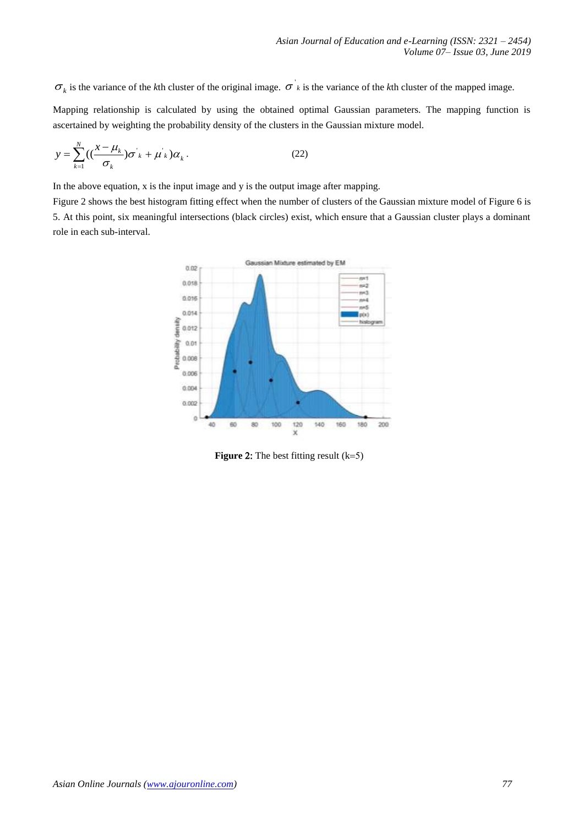is the variance of the *k*th cluster of the original image.  $\sigma'_{k}$  is the variance of the *k*th cluster of the mapped image.

Mapping relationship is calculated by using the obtained optimal Gaussian parameters. The mapping function is ascertained by weighting the probability density of the clusters in the Gaussian mixture model.

$$
y = \sum_{k=1}^{N} \left( \left( \frac{x - \mu_k}{\sigma_k} \right) \sigma_k + \mu_k \right) \alpha_k.
$$
 (22)

In the above equation, x is the input image and y is the output image after mapping.

Figure 2 shows the best histogram fitting effect when the number of clusters of the Gaussian mixture model of Figure 6 is 5. At this point, six meaningful intersections (black circles) exist, which ensure that a Gaussian cluster plays a dominant role in each sub-interval.



**Figure 2:** The best fitting result  $(k=5)$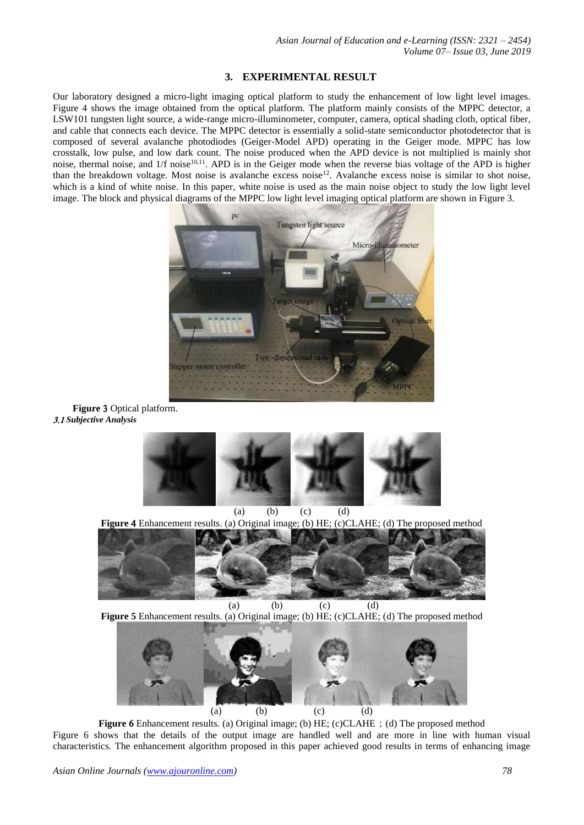# **3. EXPERIMENTAL RESULT**

Our laboratory designed a micro-light imaging optical platform to study the enhancement of low light level images. Figure 4 shows the image obtained from the optical platform. The platform mainly consists of the MPPC detector, a LSW101 tungsten light source, a wide-range micro-illuminometer, computer, camera, optical shading cloth, optical fiber, and cable that connects each device. The MPPC detector is essentially a solid-state semiconductor photodetector that is composed of several avalanche photodiodes (Geiger-Model APD) operating in the Geiger mode. MPPC has low crosstalk, low pulse, and low dark count. The noise produced when the APD device is not multiplied is mainly shot noise, thermal noise, and 1/f noise<sup>10,11</sup>. APD is in the Geiger mode when the reverse bias voltage of the APD is higher than the breakdown voltage. Most noise is avalanche excess noise<sup>12</sup>. Avalanche excess noise is similar to shot noise, which is a kind of white noise. In this paper, white noise is used as the main noise object to study the low light level image. The block and physical diagrams of the MPPC low light level imaging optical platform are shown in Figure 3.



**Figure 3 Optical platform.** *Subjective Analysis*



**Figure**  Enhancement results. (a) Original image; (b) HE; (c)CLAHE; (d) The proposed method



(a) (b) (c) (d) **Figure 5** Enhancement results. (a) Original image; (b) HE; (c)CLAHE; (d) The proposed method



**Figure 6** Enhancement results. (a) Original image; (b) HE; (c)CLAHE; (d) The proposed method Figure 6 shows that the details of the output image are handled well and are more in line with human visual characteristics. The enhancement algorithm proposed in this paper achieved good results in terms of enhancing image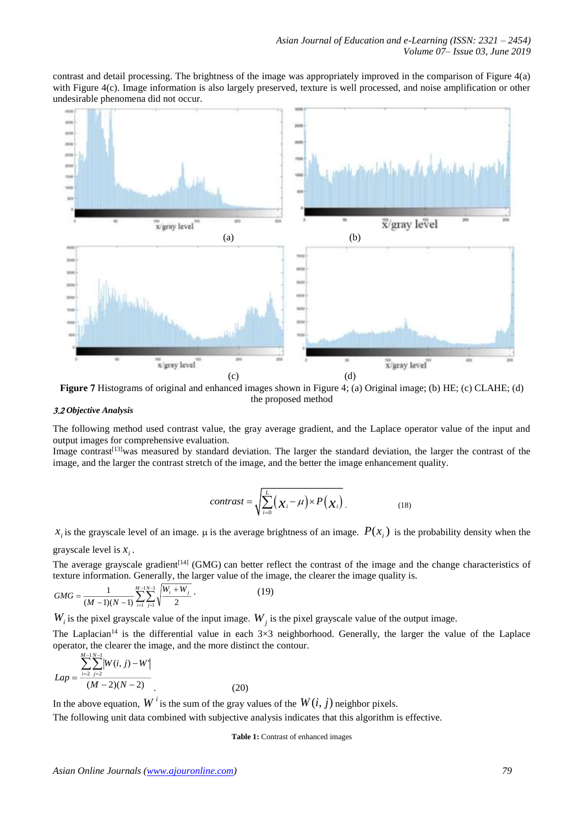contrast and detail processing. The brightness of the image was appropriately improved in the comparison of Figure 4(a) with Figure 4(c). Image information is also largely preserved, texture is well processed, and noise amplification or other undesirable phenomena did not occur.



**Figure 7** Histograms of original and enhanced images shown in Figure 4; (a) Original image; (b) HE; (c) CLAHE; (d) the proposed method

#### *Objective Analysis*

The following method used contrast value, the gray average gradient, and the Laplace operator value of the input and output images for comprehensive evaluation.

Image contrast<sup>[13]</sup>was measured by standard deviation. The larger the standard deviation, the larger the contrast of the image, and the larger the contrast stretch of the image, and the better the image enhancement quality.

$$
contrast = \sqrt{\sum_{i=0}^{L} (\chi_i - \mu) \times P(\chi_i)}.
$$
 (18)

 $x_i$  is the grayscale level of an image.  $\mu$  is the average brightness of an image.  $P(x_i)$  is the probability density when the

grayscale level is  $x_i$ .

The average grayscale gradient<sup>[14]</sup> (GMG) can better reflect the contrast of the image and the change characteristics of texture information. Generally, the larger value of the image, the clearer the image quality is.

$$
GMG = \frac{1}{(M-1)(N-1)} \sum_{i=1}^{M-1} \sum_{j=1}^{N-1} \sqrt{\frac{W_i + W_j}{2}} \,. \tag{19}
$$

 $W_i$  is the pixel grayscale value of the input image.  $W_j$  is the pixel grayscale value of the output image.

The Laplacian<sup>14</sup> is the differential value in each  $3\times3$  neighborhood. Generally, the larger the value of the Laplace operator, the clearer the image, and the more distinct the contour.

$$
Lap = \frac{\sum_{i=2}^{M-1} \sum_{j=2}^{N-1} |W(i, j) - W|}{(M-2)(N-2)}
$$
(20)

In the above equation,  $W^i$  is the sum of the gray values of the  $W(i, j)$  neighbor pixels.

The following unit data combined with subjective analysis indicates that this algorithm is effective.

**Table 1:** Contrast of enhanced images